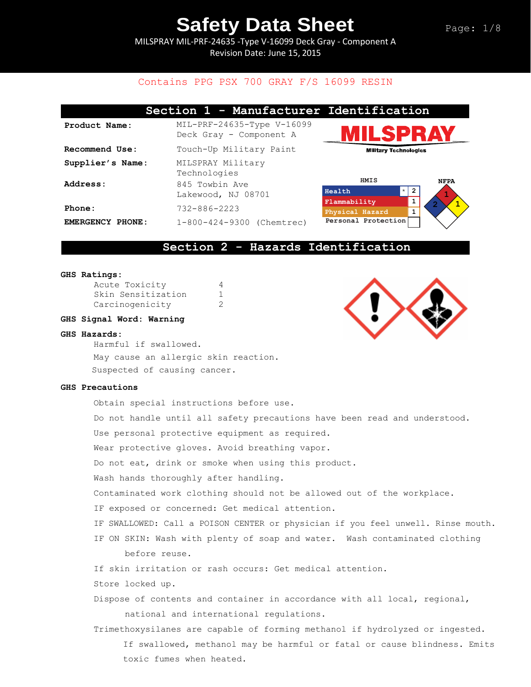MILSPRAY MIL-PRF-24635 -Type V-16099 Deck Gray - Component A Revision Date: June 15, 2015

# Contains PPG PSX 700 GRAY F/S 16099 RESIN

|                            | Section 1 - Manufacturer Identification                 |                                  |                  |
|----------------------------|---------------------------------------------------------|----------------------------------|------------------|
| Product Name:              | $MIL-PRF-24635-Type V-16099$<br>Deck Gray - Component A | ILSPRAY                          |                  |
| Recommend Use:             | Touch-Up Military Paint                                 | <b>Military Technologies</b>     |                  |
| Supplier's Name:           | MILSPRAY Military<br>Technologies                       |                                  |                  |
| Address:                   | 845 Towbin Ave<br>Lakewood, NJ 08701                    | <b>HMIS</b><br>$\star$<br>Health | <b>NFPA</b><br>2 |
| Phone:                     | $732 - 886 - 2223$                                      | Flammability<br>Physical Hazard  |                  |
| <b>EMERGENCY</b><br>PHONE: | 1-800-424-9300 (Chemtrec)                               | Personal Protection              |                  |

# **Section 2 - Hazards Identification**

### **GHS Ratings:**

| Acute Toxicity     |   |
|--------------------|---|
| Skin Sensitization | 1 |
| Carcinogenicity    | 2 |

### **GHS Signal Word: Warning**

### **GHS Hazards:**

Harmful if swallowed. May cause an allergic skin reaction. Suspected of causing cancer.

### **GHS Precautions**

| Obtain special instructions before use.                                          |
|----------------------------------------------------------------------------------|
| Do not handle until all safety precautions have been read and understood.        |
| Use personal protective equipment as required.                                   |
| Wear protective gloves. Avoid breathing vapor.                                   |
| Do not eat, drink or smoke when using this product.                              |
| Wash hands thoroughly after handling.                                            |
| Contaminated work clothing should not be allowed out of the workplace.           |
| IF exposed or concerned: Get medical attention.                                  |
| IF SWALLOWED: Call a POISON CENTER or physician if you feel unwell. Rinse mouth. |
| IF ON SKIN: Wash with plenty of soap and water. Wash contaminated clothing       |
| before reuse.                                                                    |
| If skin irritation or rash occurs: Get medical attention.                        |
| Store locked up.                                                                 |
| Dispose of contents and container in accordance with all local, regional,        |
| national and international regulations.                                          |
| Trimethoxysilanes are capable of forming methanol if hydrolyzed or ingested.     |
| If swallowed, methanol may be harmful or fatal or cause blindness. Emits         |
| toxic fumes when heated.                                                         |

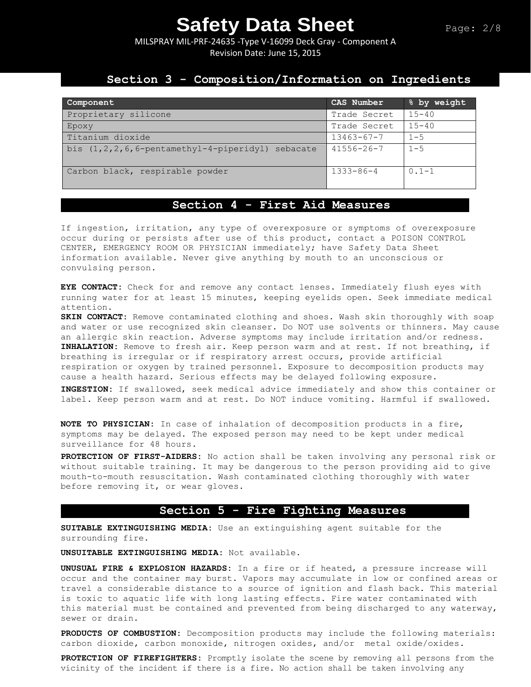MILSPRAY MIL-PRF-24635 -Type V-16099 Deck Gray - Component A Revision Date: June 15, 2015

## **Section 3 - Composition/Information on Ingredients**

| Component                                                  | CAS Number       | % by weight |
|------------------------------------------------------------|------------------|-------------|
| Proprietary silicone                                       | Trade Secret     | $15 - 40$   |
| Epoxy                                                      | Trade Secret     | $15 - 40$   |
| Titanium dioxide                                           | $13463 - 67 - 7$ | $1 - 5$     |
| bis $(1, 2, 2, 6, 6$ -pentamethyl-4-piperidyl)<br>sebacate | $41556 - 26 - 7$ | $1 - 5$     |
| Carbon black, respirable powder                            | $1333 - 86 - 4$  | $0.1 - 1$   |

# **Section 4 - First Aid Measures**

If ingestion, irritation, any type of overexposure or symptoms of overexposure occur during or persists after use of this product, contact a POISON CONTROL CENTER, EMERGENCY ROOM OR PHYSICIAN immediately; have Safety Data Sheet information available. Never give anything by mouth to an unconscious or convulsing person.

**EYE CONTACT:** Check for and remove any contact lenses. Immediately flush eyes with running water for at least 15 minutes, keeping eyelids open. Seek immediate medical attention.

**SKIN CONTACT:** Remove contaminated clothing and shoes. Wash skin thoroughly with soap and water or use recognized skin cleanser. Do NOT use solvents or thinners. May cause an allergic skin reaction. Adverse symptoms may include irritation and/or redness. **INHALATION:** Remove to fresh air. Keep person warm and at rest. If not breathing, if breathing is irregular or if respiratory arrest occurs, provide artificial respiration or oxygen by trained personnel. Exposure to decomposition products may cause a health hazard. Serious effects may be delayed following exposure.

**INGESTION:** If swallowed, seek medical advice immediately and show this container or label. Keep person warm and at rest. Do NOT induce vomiting. Harmful if swallowed.

**NOTE TO PHYSICIAN:** In case of inhalation of decomposition products in a fire, symptoms may be delayed. The exposed person may need to be kept under medical surveillance for 48 hours.

**PROTECTION OF FIRST-AIDERS:** No action shall be taken involving any personal risk or without suitable training. It may be dangerous to the person providing aid to give mouth-to-mouth resuscitation. Wash contaminated clothing thoroughly with water before removing it, or wear gloves.

# **Section 5 - Fire Fighting Measures**

**SUITABLE EXTINGUISHING MEDIA:** Use an extinguishing agent suitable for the surrounding fire.

**UNSUITABLE EXTINGUISHING MEDIA:** Not available.

**UNUSUAL FIRE & EXPLOSION HAZARDS:** In a fire or if heated, a pressure increase will occur and the container may burst. Vapors may accumulate in low or confined areas or travel a considerable distance to a source of ignition and flash back. This material is toxic to aquatic life with long lasting effects. Fire water contaminated with this material must be contained and prevented from being discharged to any waterway, sewer or drain.

**PRODUCTS OF COMBUSTION:** Decomposition products may include the following materials: carbon dioxide, carbon monoxide, nitrogen oxides, and/or metal oxide/oxides.

**PROTECTION OF FIREFIGHTERS:** Promptly isolate the scene by removing all persons from the vicinity of the incident if there is a fire. No action shall be taken involving any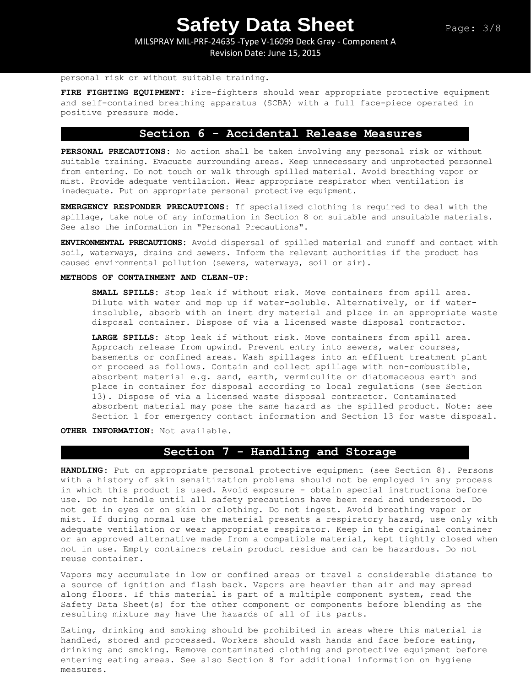MILSPRAY MIL-PRF-24635 -Type V-16099 Deck Gray - Component A Revision Date: June 15, 2015

### personal risk or without suitable training.

**FIRE FIGHTING EQUIPMENT:** Fire-fighters should wear appropriate protective equipment and self-contained breathing apparatus (SCBA) with a full face-piece operated in positive pressure mode.

## **Section 6 - Accidental Release Measures**

**PERSONAL PRECAUTIONS:** No action shall be taken involving any personal risk or without suitable training. Evacuate surrounding areas. Keep unnecessary and unprotected personnel from entering. Do not touch or walk through spilled material. Avoid breathing vapor or mist. Provide adequate ventilation. Wear appropriate respirator when ventilation is inadequate. Put on appropriate personal protective equipment.

**EMERGENCY RESPONDER PRECAUTIONS:** If specialized clothing is required to deal with the spillage, take note of any information in Section 8 on suitable and unsuitable materials. See also the information in "Personal Precautions".

**ENVIRONMENTAL PRECAUTIONS:** Avoid dispersal of spilled material and runoff and contact with soil, waterways, drains and sewers. Inform the relevant authorities if the product has caused environmental pollution (sewers, waterways, soil or air).

### **METHODS OF CONTAINMENT AND CLEAN-UP:**

**SMALL SPILLS:** Stop leak if without risk. Move containers from spill area. Dilute with water and mop up if water-soluble. Alternatively, or if waterinsoluble, absorb with an inert dry material and place in an appropriate waste disposal container. Dispose of via a licensed waste disposal contractor.

**LARGE SPILLS:** Stop leak if without risk. Move containers from spill area. Approach release from upwind. Prevent entry into sewers, water courses, basements or confined areas. Wash spillages into an effluent treatment plant or proceed as follows. Contain and collect spillage with non-combustible, absorbent material e.g. sand, earth, vermiculite or diatomaceous earth and place in container for disposal according to local regulations (see Section 13). Dispose of via a licensed waste disposal contractor. Contaminated absorbent material may pose the same hazard as the spilled product. Note: see Section 1 for emergency contact information and Section 13 for waste disposal.

**OTHER INFORMATION:** Not available.

### **Section 7 - Handling and Storage**

**HANDLING**: Put on appropriate personal protective equipment (see Section 8). Persons with a history of skin sensitization problems should not be employed in any process in which this product is used. Avoid exposure - obtain special instructions before use. Do not handle until all safety precautions have been read and understood. Do not get in eyes or on skin or clothing. Do not ingest. Avoid breathing vapor or mist. If during normal use the material presents a respiratory hazard, use only with adequate ventilation or wear appropriate respirator. Keep in the original container or an approved alternative made from a compatible material, kept tightly closed when not in use. Empty containers retain product residue and can be hazardous. Do not reuse container.

Vapors may accumulate in low or confined areas or travel a considerable distance to a source of ignition and flash back. Vapors are heavier than air and may spread along floors. If this material is part of a multiple component system, read the Safety Data Sheet(s) for the other component or components before blending as the resulting mixture may have the hazards of all of its parts.

Eating, drinking and smoking should be prohibited in areas where this material is handled, stored and processed. Workers should wash hands and face before eating, drinking and smoking. Remove contaminated clothing and protective equipment before entering eating areas. See also Section 8 for additional information on hygiene measures.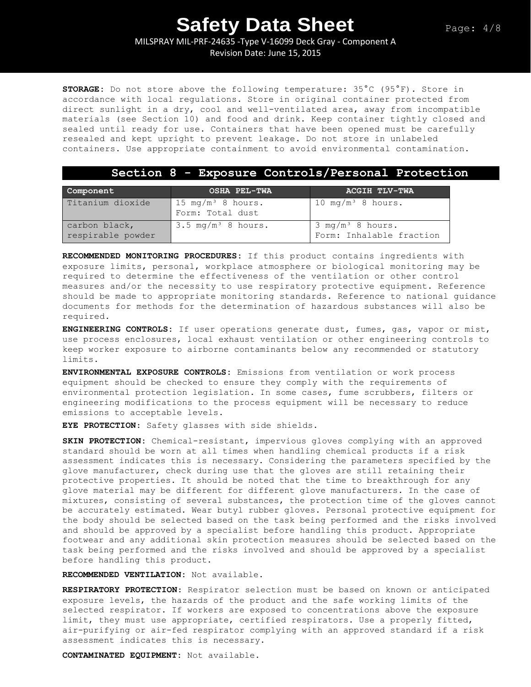MILSPRAY MIL-PRF-24635 -Type V-16099 Deck Gray - Component A

Revision Date: June 15, 2015

**STORAGE:** Do not store above the following temperature: 35°C (95°F). Store in accordance with local regulations. Store in original container protected from direct sunlight in a dry, cool and well-ventilated area, away from incompatible materials (see Section 10) and food and drink. Keep container tightly closed and sealed until ready for use. Containers that have been opened must be carefully resealed and kept upright to prevent leakage. Do not store in unlabeled containers. Use appropriate containment to avoid environmental contamination.

### **Section 8 - Exposure Controls/Personal Protection**

| Component                          | <b>OSHA PEL-TWA</b>                               | <b>ACGIH TLV-TWA</b>                                    |
|------------------------------------|---------------------------------------------------|---------------------------------------------------------|
| Titanium dioxide                   | 15 mg/m <sup>3</sup> 8 hours.<br>Form: Total dust | 10 mg/m <sup>3</sup> 8 hours.                           |
| carbon black,<br>respirable powder | $3.5 \text{ mg/m}^3$ 8 hours.                     | $3 \text{ mg/m}^3$ 8 hours.<br>Form: Inhalable fraction |

**RECOMMENDED MONITORING PROCEDURES:** If this product contains ingredients with exposure limits, personal, workplace atmosphere or biological monitoring may be required to determine the effectiveness of the ventilation or other control measures and/or the necessity to use respiratory protective equipment. Reference should be made to appropriate monitoring standards. Reference to national guidance documents for methods for the determination of hazardous substances will also be required.

**ENGINEERING CONTROLS:** If user operations generate dust, fumes, gas, vapor or mist, use process enclosures, local exhaust ventilation or other engineering controls to keep worker exposure to airborne contaminants below any recommended or statutory limits.

**ENVIRONMENTAL EXPOSURE CONTROLS:** Emissions from ventilation or work process equipment should be checked to ensure they comply with the requirements of environmental protection legislation. In some cases, fume scrubbers, filters or engineering modifications to the process equipment will be necessary to reduce emissions to acceptable levels.

**EYE PROTECTION**: Safety glasses with side shields.

**SKIN PROTECTION:** Chemical-resistant, impervious gloves complying with an approved standard should be worn at all times when handling chemical products if a risk assessment indicates this is necessary. Considering the parameters specified by the glove manufacturer, check during use that the gloves are still retaining their protective properties. It should be noted that the time to breakthrough for any glove material may be different for different glove manufacturers. In the case of mixtures, consisting of several substances, the protection time of the gloves cannot be accurately estimated. Wear butyl rubber gloves. Personal protective equipment for the body should be selected based on the task being performed and the risks involved and should be approved by a specialist before handling this product. Appropriate footwear and any additional skin protection measures should be selected based on the task being performed and the risks involved and should be approved by a specialist before handling this product.

**RECOMMENDED VENTILATION:** Not available.

**RESPIRATORY PROTECTION**: Respirator selection must be based on known or anticipated exposure levels, the hazards of the product and the safe working limits of the selected respirator. If workers are exposed to concentrations above the exposure limit, they must use appropriate, certified respirators. Use a properly fitted, air-purifying or air-fed respirator complying with an approved standard if a risk assessment indicates this is necessary.

**CONTAMINATED EQUIPMENT:** Not available.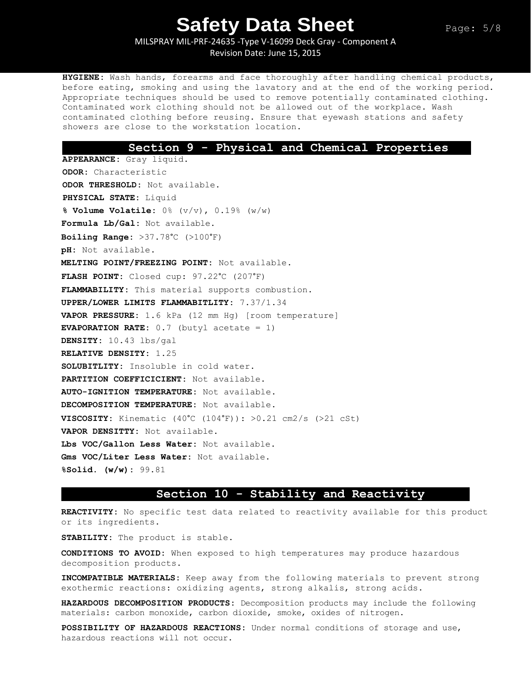MILSPRAY MIL-PRF-24635 -Type V-16099 Deck Gray - Component A Revision Date: June 15, 2015

**HYGIENE:** Wash hands, forearms and face thoroughly after handling chemical products, before eating, smoking and using the lavatory and at the end of the working period. Appropriate techniques should be used to remove potentially contaminated clothing. Contaminated work clothing should not be allowed out of the workplace. Wash contaminated clothing before reusing. Ensure that eyewash stations and safety showers are close to the workstation location.

### **Section 9 - Physical and Chemical Properties**

**APPEARANCE:** Gray liquid. **ODOR:** Characteristic **ODOR THRESHOLD:** Not available. **PHYSICAL STATE:** Liquid **% Volume Volatile:** 0% (v/v), 0.19% (w/w) **Formula Lb/Gal:** Not available. **Boiling Range:** >37.78°C (>100°F) **pH:** Not available. **MELTING POINT/FREEZING POINT:** Not available. **FLASH POINT:** Closed cup: 97.22°C (207°F) **FLAMMABILITY:** This material supports combustion. **UPPER/LOWER LIMITS FLAMMABITLITY:** 7.37/1.34 **VAPOR PRESSURE:** 1.6 kPa (12 mm Hg) [room temperature] **EVAPORATION RATE:** 0.7 (butyl acetate = 1) **DENSITY:** 10.43 lbs/gal **RELATIVE DENSITY:** 1.25 **SOLUBITLITY:** Insoluble in cold water. **PARTITION COEFFICICIENT:** Not available. **AUTO-IGNITION TEMPERATURE:** Not available. **DECOMPOSITION TEMPERATURE:** Not available. **VISCOSITY:** Kinematic  $(40^{\circ}\text{C } (104^{\circ}\text{F}))$ :  $>0.21$  cm2/s ( $>21$  cSt) **VAPOR DENSITTY:** Not available. **Lbs VOC/Gallon Less Water:** Not available. **Gms VOC/Liter Less Water:** Not available. **%Solid. (w/w):** 99.81

### **Section 10 - Stability and Reactivity**

**REACTIVITY:** No specific test data related to reactivity available for this product or its ingredients.

**STABILITY:** The product is stable.

**CONDITIONS TO AVOID:** When exposed to high temperatures may produce hazardous decomposition products.

**INCOMPATIBLE MATERIALS:** Keep away from the following materials to prevent strong exothermic reactions: oxidizing agents, strong alkalis, strong acids.

**HAZARDOUS DECOMPOSITION PRODUCTS:** Decomposition products may include the following materials: carbon monoxide, carbon dioxide, smoke, oxides of nitrogen**.**

**POSSIBILITY OF HAZARDOUS REACTIONS:** Under normal conditions of storage and use, hazardous reactions will not occur.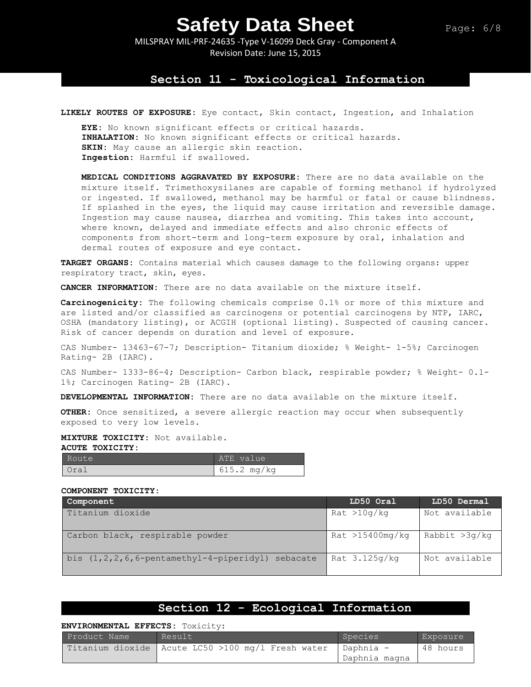MILSPRAY MIL-PRF-24635 -Type V-16099 Deck Gray - Component A Revision Date: June 15, 2015

### **Section 11 - Toxicological Information**

**LIKELY ROUTES OF EXPOSURE:** Eye contact, Skin contact, Ingestion, and Inhalation

**EYE:** No known significant effects or critical hazards. **INHALATION:** No known significant effects or critical hazards. **SKIN:** May cause an allergic skin reaction. **Ingestion:** Harmful if swallowed.

**MEDICAL CONDITIONS AGGRAVATED BY EXPOSURE:** There are no data available on the mixture itself. Trimethoxysilanes are capable of forming methanol if hydrolyzed or ingested. If swallowed, methanol may be harmful or fatal or cause blindness. If splashed in the eyes, the liquid may cause irritation and reversible damage. Ingestion may cause nausea, diarrhea and vomiting. This takes into account, where known, delayed and immediate effects and also chronic effects of components from short-term and long-term exposure by oral, inhalation and dermal routes of exposure and eye contact.

**TARGET ORGANS:** Contains material which causes damage to the following organs: upper respiratory tract, skin, eyes.

**CANCER INFORMATION:** There are no data available on the mixture itself.

**Carcinogenicity:** The following chemicals comprise 0.1% or more of this mixture and are listed and/or classified as carcinogens or potential carcinogens by NTP, IARC, OSHA (mandatory listing), or ACGIH (optional listing). Suspected of causing cancer. Risk of cancer depends on duration and level of exposure.

CAS Number- 13463-67-7; Description- Titanium dioxide; % Weight- 1-5%; Carcinogen Rating- 2B (IARC).

CAS Number- 1333-86-4; Description- Carbon black, respirable powder; % Weight- 0.1- 1%; Carcinogen Rating- 2B (IARC).

**DEVELOPMENTAL INFORMATION:** There are no data available on the mixture itself.

**OTHER:** Once sensitized, a severe allergic reaction may occur when subsequently exposed to very low levels.

**MIXTURE TOXICITY:** Not available. **ACUTE TOXICITY:** 

| Route | ATE value     |
|-------|---------------|
| Oral  | $615.2$ mg/kg |

#### **COMPONENT TOXICITY:**

| Component                                               | LD50 Oral       | LD50 Dermal   |
|---------------------------------------------------------|-----------------|---------------|
| Titanium dioxide                                        | Rat >10g/kg     | Not available |
| Carbon black, respirable powder                         | Rat >15400mg/kg | Rabbit >3g/kg |
| bis $(1, 2, 2, 6, 6$ -pentamethyl-4-piperidyl) sebacate | Rat $3.125q/kg$ | Not available |

# **Section 12 - Ecological Information**

### **ENVIRONMENTAL EFFECTS:** Toxicity:

| Product Name | Result                                              | Species                    | Exposure |
|--------------|-----------------------------------------------------|----------------------------|----------|
|              | Titanium dioxide   Acute LC50 >100 mg/l Fresh water | Daphnia -<br>Daphnia magna | 48 hours |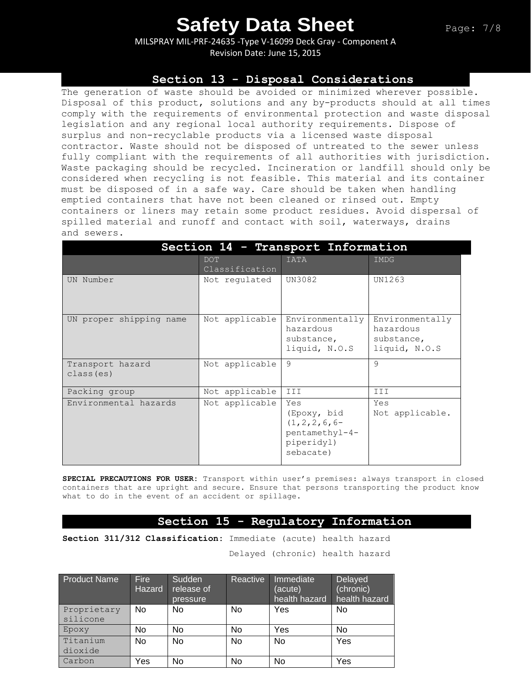MILSPRAY MIL-PRF-24635 -Type V-16099 Deck Gray - Component A Revision Date: June 15, 2015

## **Section 13 - Disposal Considerations**

The generation of waste should be avoided or minimized wherever possible. Disposal of this product, solutions and any by-products should at all times comply with the requirements of environmental protection and waste disposal legislation and any regional local authority requirements. Dispose of surplus and non-recyclable products via a licensed waste disposal contractor. Waste should not be disposed of untreated to the sewer unless fully compliant with the requirements of all authorities with jurisdiction. Waste packaging should be recycled. Incineration or landfill should only be considered when recycling is not feasible. This material and its container must be disposed of in a safe way. Care should be taken when handling emptied containers that have not been cleaned or rinsed out. Empty containers or liners may retain some product residues. Avoid dispersal of spilled material and runoff and contact with soil, waterways, drains and sewers.

| Section 14 - Transport Information |                              |                                                                                      |                                                             |  |  |
|------------------------------------|------------------------------|--------------------------------------------------------------------------------------|-------------------------------------------------------------|--|--|
|                                    | <b>DOT</b><br>Classification | <b>IATA</b>                                                                          | IMDG                                                        |  |  |
| UN Number                          | Not regulated                | UN3082                                                                               | UN1263                                                      |  |  |
| UN proper shipping name            | Not applicable               | Environmentally<br>hazardous<br>substance,<br>liquid, N.O.S                          | Environmentally<br>hazardous<br>substance,<br>liquid, N.O.S |  |  |
| Transport hazard<br>class (es)     | Not applicable               | 9                                                                                    | 9                                                           |  |  |
| Packing group                      | Not applicable               | III                                                                                  | III                                                         |  |  |
| Environmental hazards              | Not applicable               | Yes<br>(Epoxy, bid<br>$(1, 2, 2, 6, 6-$<br>pentamethyl-4-<br>piperidyl)<br>sebacate) | Yes<br>Not applicable.                                      |  |  |

**SPECIAL PRECAUTIONS FOR USER:** Transport within user's premises: always transport in closed containers that are upright and secure. Ensure that persons transporting the product know what to do in the event of an accident or spillage.

## **Section 15 - Regulatory Information**

**Section 311/312 Classification:** Immediate (acute) health hazard

Delayed (chronic) health hazard

| <b>Product Name</b> | <b>Fire</b><br>Hazard | Sudden<br>release of<br>pressure | Reactive | Immediate<br>(acute)<br>health hazard | Delayed<br>(chronic)<br>health hazard |
|---------------------|-----------------------|----------------------------------|----------|---------------------------------------|---------------------------------------|
| Proprietary         | No                    | No                               | No       | Yes                                   | No                                    |
| silicone            |                       |                                  |          |                                       |                                       |
| Epoxy               | No                    | No                               | No       | Yes                                   | No                                    |
| Titanium            | <b>No</b>             | <b>No</b>                        | No       | <b>No</b>                             | Yes                                   |
| dioxide             |                       |                                  |          |                                       |                                       |
| Carbon              | Yes                   | No                               | No       | No                                    | Yes                                   |